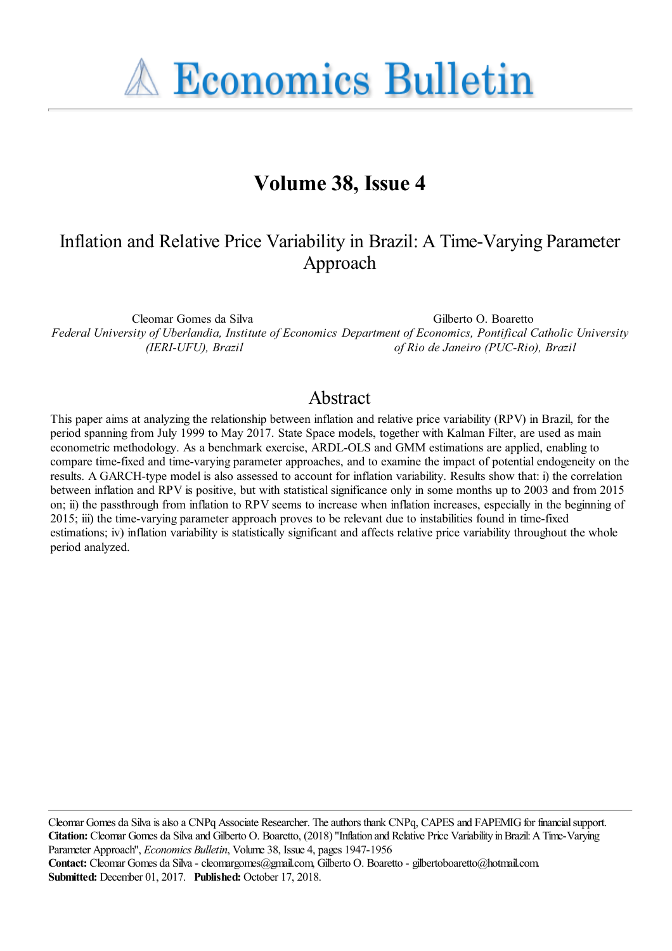**A Economics Bulletin** 

# **Volume 38, Issue 4**

## Inflation and Relative Price Variability in Brazil: A Time-Varying Parameter Approach

Cleomar Gomes da Silva *Federal University of Uberlandia, Institute of Economics Department of Economics, Pontifical Catholic University (IERI-UFU), Brazil* Gilberto O. Boaretto *of Rio de Janeiro (PUC-Rio), Brazil*

#### Abstract

This paper aims at analyzing the relationship between inflation and relative price variability (RPV) in Brazil, for the period spanning from July 1999 to May 2017. State Space models, together with Kalman Filter, are used as main econometric methodology. As a benchmark exercise, ARDL-OLS and GMM estimations are applied, enabling to compare time-fixed and time-varying parameter approaches, and to examine the impact of potential endogeneity on the results. A GARCH-type model is also assessed to account for inflation variability. Results show that: i) the correlation between inflation and RPV is positive, but with statistical significance only in some months up to 2003 and from 2015 on; ii) the passthrough from inflation to RPV seems to increase when inflation increases, especially in the beginning of 2015; iii) the time-varying parameter approach proves to be relevant due to instabilities found in time-fixed estimations; iv) inflation variability is statistically significant and affects relative price variability throughout the whole period analyzed.

Cleomar Gomes da Silva is also a CNPq Associate Researcher. The authors thank CNPq, CAPES and FAPEMIG for financial support. **Citation:** Cleomar Gomes da Silva and Gilberto O. Boaretto, (2018) ''Inflation and Relative Price Variability in Brazil: A Time-Varying Parameter Approach'', *Economics Bulletin*, Volume 38, Issue 4, pages 1947-1956 **Contact:** Cleomar Gomes da Silva - cleomargomes@gmail.com, Gilberto O. Boaretto - gilbertoboaretto@hotmail.com. **Submitted:** December 01, 2017. **Published:** October 17, 2018.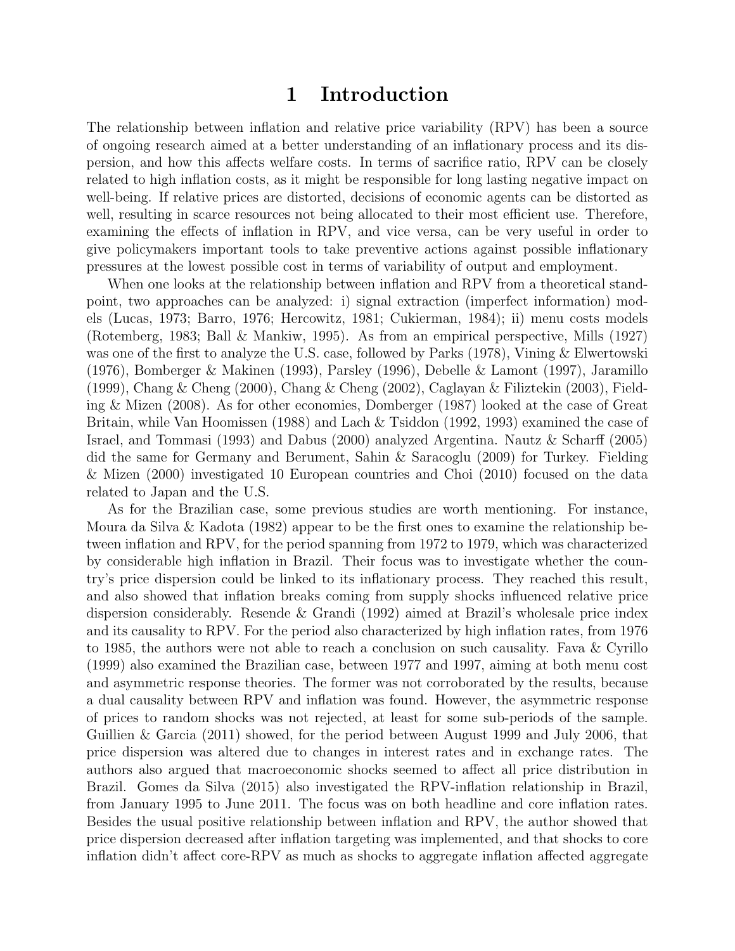### 1 Introduction

The relationship between inflation and relative price variability (RPV) has been a source of ongoing research aimed at a better understanding of an inflationary process and its dispersion, and how this affects welfare costs. In terms of sacrifice ratio, RPV can be closely related to high inflation costs, as it might be responsible for long lasting negative impact on well-being. If relative prices are distorted, decisions of economic agents can be distorted as well, resulting in scarce resources not being allocated to their most efficient use. Therefore, examining the effects of inflation in RPV, and vice versa, can be very useful in order to give policymakers important tools to take preventive actions against possible inflationary pressures at the lowest possible cost in terms of variability of output and employment.

When one looks at the relationship between inflation and RPV from a theoretical standpoint, two approaches can be analyzed: i) signal extraction (imperfect information) models (Lucas, 1973; Barro, 1976; Hercowitz, 1981; Cukierman, 1984); ii) menu costs models (Rotemberg, 1983; Ball & Mankiw, 1995). As from an empirical perspective, Mills (1927) was one of the first to analyze the U.S. case, followed by Parks (1978), Vining & Elwertowski (1976), Bomberger & Makinen (1993), Parsley (1996), Debelle & Lamont (1997), Jaramillo (1999), Chang & Cheng (2000), Chang & Cheng (2002), Caglayan & Filiztekin (2003), Fielding & Mizen (2008). As for other economies, Domberger (1987) looked at the case of Great Britain, while Van Hoomissen (1988) and Lach & Tsiddon (1992, 1993) examined the case of Israel, and Tommasi (1993) and Dabus (2000) analyzed Argentina. Nautz & Scharff (2005) did the same for Germany and Berument, Sahin & Saracoglu (2009) for Turkey. Fielding & Mizen (2000) investigated 10 European countries and Choi (2010) focused on the data related to Japan and the U.S.

As for the Brazilian case, some previous studies are worth mentioning. For instance, Moura da Silva & Kadota (1982) appear to be the first ones to examine the relationship between inflation and RPV, for the period spanning from 1972 to 1979, which was characterized by considerable high inflation in Brazil. Their focus was to investigate whether the country's price dispersion could be linked to its inflationary process. They reached this result, and also showed that inflation breaks coming from supply shocks influenced relative price dispersion considerably. Resende & Grandi (1992) aimed at Brazil's wholesale price index and its causality to RPV. For the period also characterized by high inflation rates, from 1976 to 1985, the authors were not able to reach a conclusion on such causality. Fava & Cyrillo (1999) also examined the Brazilian case, between 1977 and 1997, aiming at both menu cost and asymmetric response theories. The former was not corroborated by the results, because a dual causality between RPV and inflation was found. However, the asymmetric response of prices to random shocks was not rejected, at least for some sub-periods of the sample. Guillien & Garcia (2011) showed, for the period between August 1999 and July 2006, that price dispersion was altered due to changes in interest rates and in exchange rates. The authors also argued that macroeconomic shocks seemed to affect all price distribution in Brazil. Gomes da Silva (2015) also investigated the RPV-inflation relationship in Brazil, from January 1995 to June 2011. The focus was on both headline and core inflation rates. Besides the usual positive relationship between inflation and RPV, the author showed that price dispersion decreased after inflation targeting was implemented, and that shocks to core inflation didn't affect core-RPV as much as shocks to aggregate inflation affected aggregate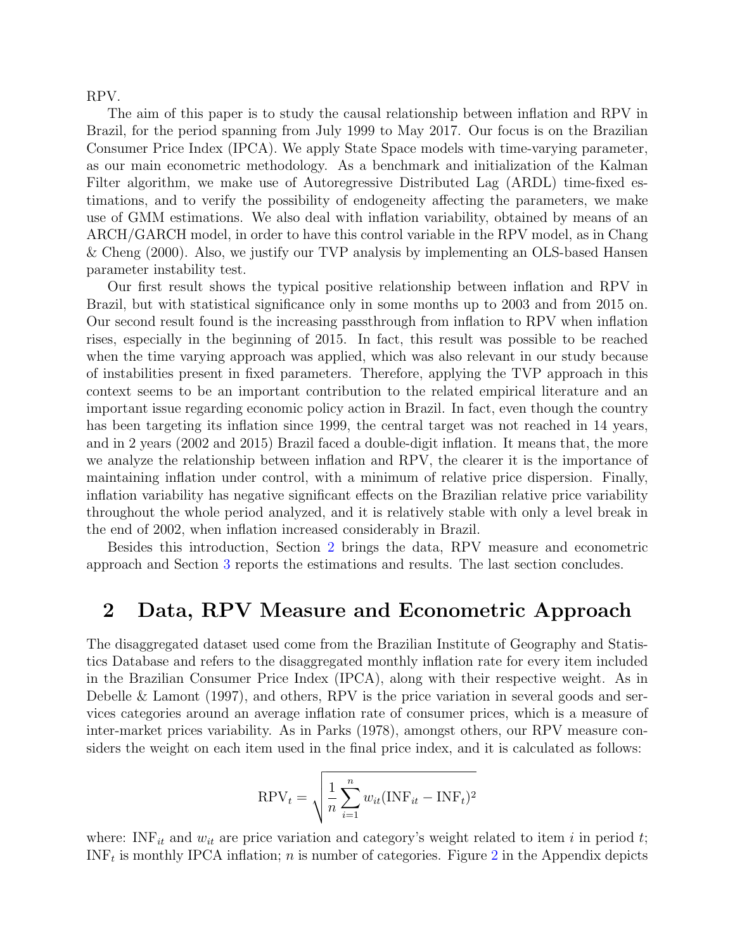RPV.

The aim of this paper is to study the causal relationship between inflation and RPV in Brazil, for the period spanning from July 1999 to May 2017. Our focus is on the Brazilian Consumer Price Index (IPCA). We apply State Space models with time-varying parameter, as our main econometric methodology. As a benchmark and initialization of the Kalman Filter algorithm, we make use of Autoregressive Distributed Lag (ARDL) time-fixed estimations, and to verify the possibility of endogeneity affecting the parameters, we make use of GMM estimations. We also deal with inflation variability, obtained by means of an ARCH/GARCH model, in order to have this control variable in the RPV model, as in Chang & Cheng (2000). Also, we justify our TVP analysis by implementing an OLS-based Hansen parameter instability test.

Our first result shows the typical positive relationship between inflation and RPV in Brazil, but with statistical significance only in some months up to 2003 and from 2015 on. Our second result found is the increasing passthrough from inflation to RPV when inflation rises, especially in the beginning of 2015. In fact, this result was possible to be reached when the time varying approach was applied, which was also relevant in our study because of instabilities present in fixed parameters. Therefore, applying the TVP approach in this context seems to be an important contribution to the related empirical literature and an important issue regarding economic policy action in Brazil. In fact, even though the country has been targeting its inflation since 1999, the central target was not reached in 14 years, and in 2 years (2002 and 2015) Brazil faced a double-digit inflation. It means that, the more we analyze the relationship between inflation and RPV, the clearer it is the importance of maintaining inflation under control, with a minimum of relative price dispersion. Finally, inflation variability has negative significant effects on the Brazilian relative price variability throughout the whole period analyzed, and it is relatively stable with only a level break in the end of 2002, when inflation increased considerably in Brazil.

Besides this introduction, Section [2](#page-2-0) brings the data, RPV measure and econometric approach and Section [3](#page-4-0) reports the estimations and results. The last section concludes.

#### <span id="page-2-0"></span>2 Data, RPV Measure and Econometric Approach

The disaggregated dataset used come from the Brazilian Institute of Geography and Statistics Database and refers to the disaggregated monthly inflation rate for every item included in the Brazilian Consumer Price Index (IPCA), along with their respective weight. As in Debelle & Lamont (1997), and others, RPV is the price variation in several goods and services categories around an average inflation rate of consumer prices, which is a measure of inter-market prices variability. As in Parks (1978), amongst others, our RPV measure considers the weight on each item used in the final price index, and it is calculated as follows:

$$
RPV_t = \sqrt{\frac{1}{n} \sum_{i=1}^{n} w_{it} (INF_{it} - INF_t)^2}
$$

where: INF<sub>it</sub> and  $w_{it}$  are price variation and category's weight related to item i in period t;  $INF_t$  is monthly IPCA inflation; *n* is number of categories. Figure [2](#page-9-0) in the Appendix depicts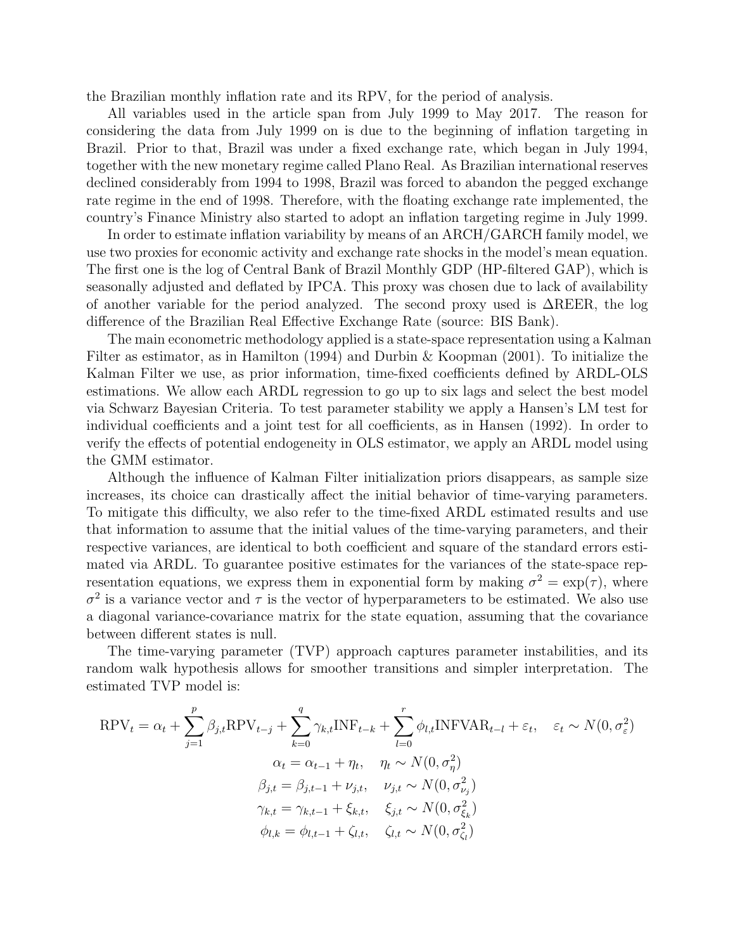the Brazilian monthly inflation rate and its RPV, for the period of analysis.

All variables used in the article span from July 1999 to May 2017. The reason for considering the data from July 1999 on is due to the beginning of inflation targeting in Brazil. Prior to that, Brazil was under a fixed exchange rate, which began in July 1994, together with the new monetary regime called Plano Real. As Brazilian international reserves declined considerably from 1994 to 1998, Brazil was forced to abandon the pegged exchange rate regime in the end of 1998. Therefore, with the floating exchange rate implemented, the country's Finance Ministry also started to adopt an inflation targeting regime in July 1999.

In order to estimate inflation variability by means of an ARCH/GARCH family model, we use two proxies for economic activity and exchange rate shocks in the model's mean equation. The first one is the log of Central Bank of Brazil Monthly GDP (HP-filtered GAP), which is seasonally adjusted and deflated by IPCA. This proxy was chosen due to lack of availability of another variable for the period analyzed. The second proxy used is ∆REER, the log difference of the Brazilian Real Effective Exchange Rate (source: BIS Bank).

The main econometric methodology applied is a state-space representation using a Kalman Filter as estimator, as in Hamilton (1994) and Durbin & Koopman (2001). To initialize the Kalman Filter we use, as prior information, time-fixed coefficients defined by ARDL-OLS estimations. We allow each ARDL regression to go up to six lags and select the best model via Schwarz Bayesian Criteria. To test parameter stability we apply a Hansen's LM test for individual coefficients and a joint test for all coefficients, as in Hansen (1992). In order to verify the effects of potential endogeneity in OLS estimator, we apply an ARDL model using the GMM estimator.

Although the influence of Kalman Filter initialization priors disappears, as sample size increases, its choice can drastically affect the initial behavior of time-varying parameters. To mitigate this difficulty, we also refer to the time-fixed ARDL estimated results and use that information to assume that the initial values of the time-varying parameters, and their respective variances, are identical to both coefficient and square of the standard errors estimated via ARDL. To guarantee positive estimates for the variances of the state-space representation equations, we express them in exponential form by making  $\sigma^2 = \exp(\tau)$ , where  $\sigma^2$  is a variance vector and  $\tau$  is the vector of hyperparameters to be estimated. We also use a diagonal variance-covariance matrix for the state equation, assuming that the covariance between different states is null.

The time-varying parameter (TVP) approach captures parameter instabilities, and its random walk hypothesis allows for smoother transitions and simpler interpretation. The estimated TVP model is:

$$
RPV_t = \alpha_t + \sum_{j=1}^p \beta_{j,t} RPV_{t-j} + \sum_{k=0}^q \gamma_{k,t} INF_{t-k} + \sum_{l=0}^r \phi_{l,t} INFVAR_{t-l} + \varepsilon_t, \quad \varepsilon_t \sim N(0, \sigma_{\varepsilon}^2)
$$

$$
\alpha_t = \alpha_{t-1} + \eta_t, \quad \eta_t \sim N(0, \sigma_{\eta}^2)
$$

$$
\beta_{j,t} = \beta_{j,t-1} + \nu_{j,t}, \quad \nu_{j,t} \sim N(0, \sigma_{\nu_j}^2)
$$

$$
\gamma_{k,t} = \gamma_{k,t-1} + \xi_{k,t}, \quad \xi_{j,t} \sim N(0, \sigma_{\xi_k}^2)
$$

$$
\phi_{l,k} = \phi_{l,t-1} + \zeta_{l,t}, \quad \zeta_{l,t} \sim N(0, \sigma_{\zeta_l}^2)
$$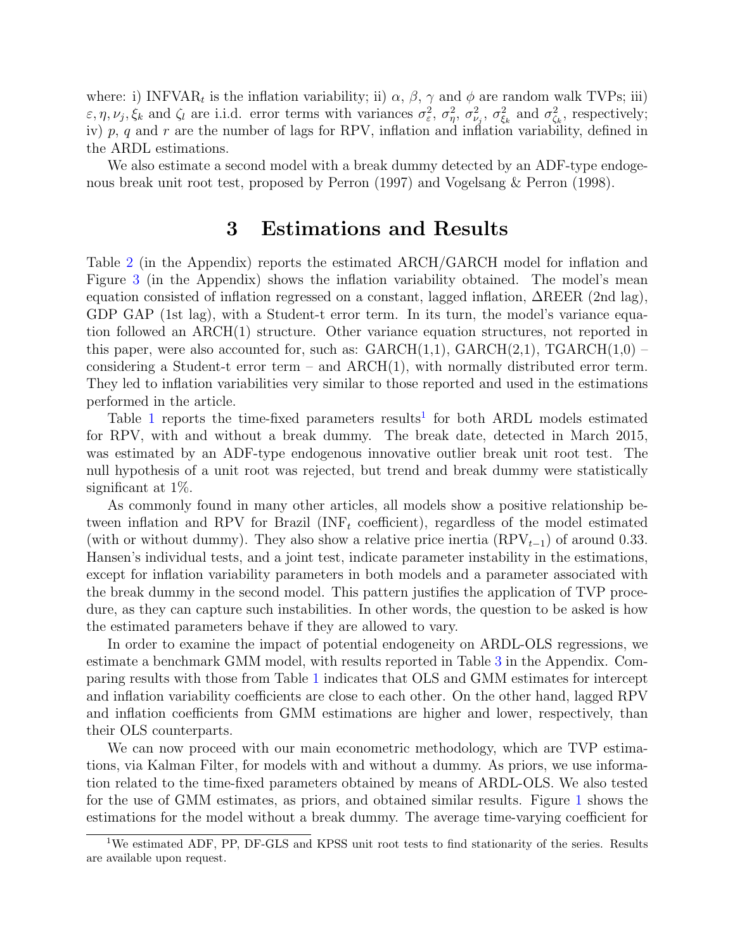where: i) INFVAR<sub>t</sub> is the inflation variability; ii)  $\alpha$ ,  $\beta$ ,  $\gamma$  and  $\phi$  are random walk TVPs; iii)  $\varepsilon, \eta, \nu_j, \xi_k$  and  $\zeta_l$  are i.i.d. error terms with variances  $\sigma_{\varepsilon}^2$  $\frac{2}{\varepsilon}, \; \sigma_\eta^2$  $\frac{2}{\eta}$ ,  $\sigma_{\nu}^2$  $\frac{2}{\nu_j}, \sigma_{\xi_i}^2$  $\frac{2}{\xi_k}$  and  $\sigma_{\zeta_k}^2$  $\zeta_k$ , respectively; iv)  $p, q$  and  $r$  are the number of lags for RPV, inflation and inflation variability, defined in the ARDL estimations.

We also estimate a second model with a break dummy detected by an ADF-type endogenous break unit root test, proposed by Perron (1997) and Vogelsang & Perron (1998).

#### 3 Estimations and Results

<span id="page-4-0"></span>Table [2](#page-9-1) (in the Appendix) reports the estimated ARCH/GARCH model for inflation and Figure [3](#page-10-0) (in the Appendix) shows the inflation variability obtained. The model's mean equation consisted of inflation regressed on a constant, lagged inflation, ∆REER (2nd lag), GDP GAP (1st lag), with a Student-t error term. In its turn, the model's variance equation followed an ARCH(1) structure. Other variance equation structures, not reported in this paper, were also accounted for, such as:  $GARCH(1,1)$ ,  $GARCH(2,1)$ ,  $TGARCH(1,0)$  – considering a Student-t error term – and  $ARCH(1)$ , with normally distributed error term. They led to inflation variabilities very similar to those reported and used in the estimations performed in the article.

Table [1](#page-4-1) reports the time-fixed parameters results<sup>1</sup> for both ARDL models estimated for RPV, with and without a break dummy. The break date, detected in March 2015, was estimated by an ADF-type endogenous innovative outlier break unit root test. The null hypothesis of a unit root was rejected, but trend and break dummy were statistically significant at 1%.

As commonly found in many other articles, all models show a positive relationship between inflation and RPV for Brazil (INF<sub>t</sub> coefficient), regardless of the model estimated (with or without dummy). They also show a relative price inertia  $(RPV<sub>t-1</sub>)$  of around 0.33. Hansen's individual tests, and a joint test, indicate parameter instability in the estimations, except for inflation variability parameters in both models and a parameter associated with the break dummy in the second model. This pattern justifies the application of TVP procedure, as they can capture such instabilities. In other words, the question to be asked is how the estimated parameters behave if they are allowed to vary.

In order to examine the impact of potential endogeneity on ARDL-OLS regressions, we estimate a benchmark GMM model, with results reported in Table [3](#page-9-2) in the Appendix. Comparing results with those from Table [1](#page-5-0) indicates that OLS and GMM estimates for intercept and inflation variability coefficients are close to each other. On the other hand, lagged RPV and inflation coefficients from GMM estimations are higher and lower, respectively, than their OLS counterparts.

We can now proceed with our main econometric methodology, which are TVP estimations, via Kalman Filter, for models with and without a dummy. As priors, we use information related to the time-fixed parameters obtained by means of ARDL-OLS. We also tested for the use of GMM estimates, as priors, and obtained similar results. Figure [1](#page-6-0) shows the estimations for the model without a break dummy. The average time-varying coefficient for

<span id="page-4-1"></span><sup>&</sup>lt;sup>1</sup>We estimated ADF, PP, DF-GLS and KPSS unit root tests to find stationarity of the series. Results are available upon request.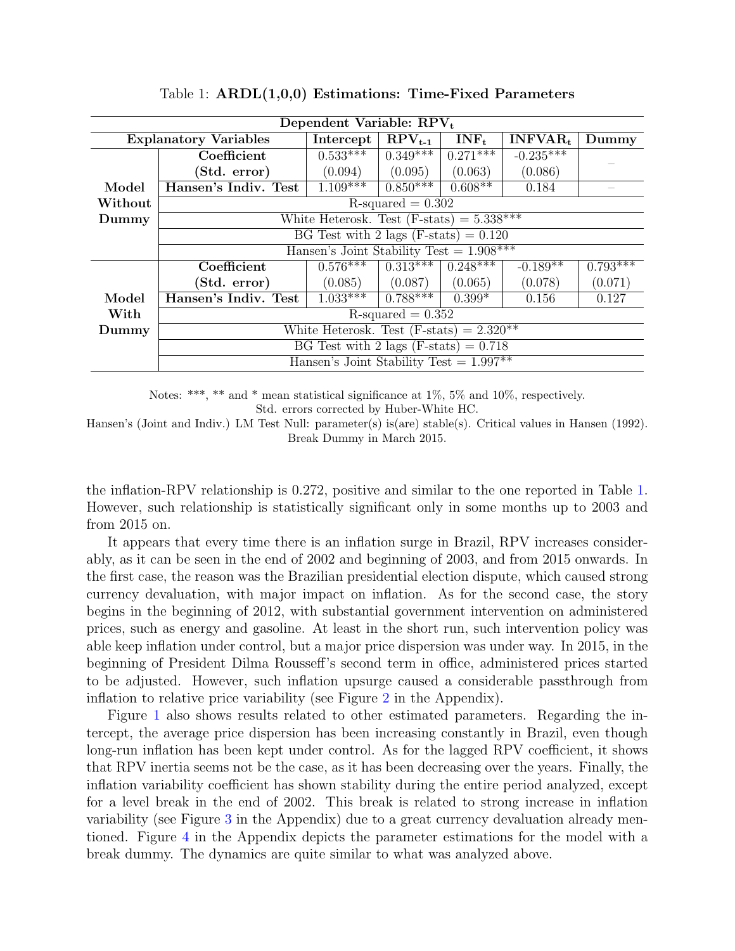<span id="page-5-0"></span>

| Dependent Variable: RPV <sub>t</sub> |                                             |            |             |            |             |            |  |  |
|--------------------------------------|---------------------------------------------|------------|-------------|------------|-------------|------------|--|--|
|                                      | <b>Explanatory Variables</b>                | Intercept  | $RPV_{t-1}$ | $INF_t$    | $INFVAR_t$  | Dummy      |  |  |
|                                      | Coefficient                                 | $0.533***$ | $0.349***$  | $0.271***$ | $-0.235***$ |            |  |  |
|                                      | (Std. error)                                | (0.094)    | (0.095)     | (0.063)    | (0.086)     |            |  |  |
| Model                                | Hansen's Indiv. Test                        | $1.109***$ | $0.850***$  | $0.608**$  | 0.184       |            |  |  |
| Without                              | $R$ -squared = 0.302                        |            |             |            |             |            |  |  |
| Dummy                                | White Heterosk. Test $(F-stats) = 5.338***$ |            |             |            |             |            |  |  |
|                                      | BG Test with 2 lags $(F-stats) = 0.120$     |            |             |            |             |            |  |  |
|                                      | Hansen's Joint Stability Test = $1.908***$  |            |             |            |             |            |  |  |
|                                      | Coefficient                                 | $0.576***$ | $0.313***$  | $0.248***$ | $-0.189**$  | $0.793***$ |  |  |
|                                      | (Std. error)                                | (0.085)    | (0.087)     | (0.065)    | (0.078)     | (0.071)    |  |  |
| Model                                | Hansen's Indiv. Test                        | $1.033***$ | $0.788***$  | $0.399*$   | 0.156       | 0.127      |  |  |
| With                                 | $R$ -squared = $0.352$                      |            |             |            |             |            |  |  |
| Dummy                                | White Heterosk. Test $(F-stats) = 2.320**$  |            |             |            |             |            |  |  |
|                                      | BG Test with 2 lags $(F-stats) = 0.718$     |            |             |            |             |            |  |  |
|                                      | Hansen's Joint Stability Test = $1.997**$   |            |             |            |             |            |  |  |

Table 1: ARDL(1,0,0) Estimations: Time-Fixed Parameters

Notes: \*\*\*, \*\* and \* mean statistical significance at 1%, 5% and 10%, respectively. Std. errors corrected by Huber-White HC.

Hansen's (Joint and Indiv.) LM Test Null: parameter(s) is(are) stable(s). Critical values in Hansen (1992). Break Dummy in March 2015.

the inflation-RPV relationship is 0.272, positive and similar to the one reported in Table [1.](#page-5-0) However, such relationship is statistically significant only in some months up to 2003 and from 2015 on.

It appears that every time there is an inflation surge in Brazil, RPV increases considerably, as it can be seen in the end of 2002 and beginning of 2003, and from 2015 onwards. In the first case, the reason was the Brazilian presidential election dispute, which caused strong currency devaluation, with major impact on inflation. As for the second case, the story begins in the beginning of 2012, with substantial government intervention on administered prices, such as energy and gasoline. At least in the short run, such intervention policy was able keep inflation under control, but a major price dispersion was under way. In 2015, in the beginning of President Dilma Rousseff's second term in office, administered prices started to be adjusted. However, such inflation upsurge caused a considerable passthrough from inflation to relative price variability (see Figure [2](#page-9-0) in the Appendix).

Figure [1](#page-6-0) also shows results related to other estimated parameters. Regarding the intercept, the average price dispersion has been increasing constantly in Brazil, even though long-run inflation has been kept under control. As for the lagged RPV coefficient, it shows that RPV inertia seems not be the case, as it has been decreasing over the years. Finally, the inflation variability coefficient has shown stability during the entire period analyzed, except for a level break in the end of 2002. This break is related to strong increase in inflation variability (see Figure [3](#page-10-0) in the Appendix) due to a great currency devaluation already mentioned. Figure [4](#page-10-1) in the Appendix depicts the parameter estimations for the model with a break dummy. The dynamics are quite similar to what was analyzed above.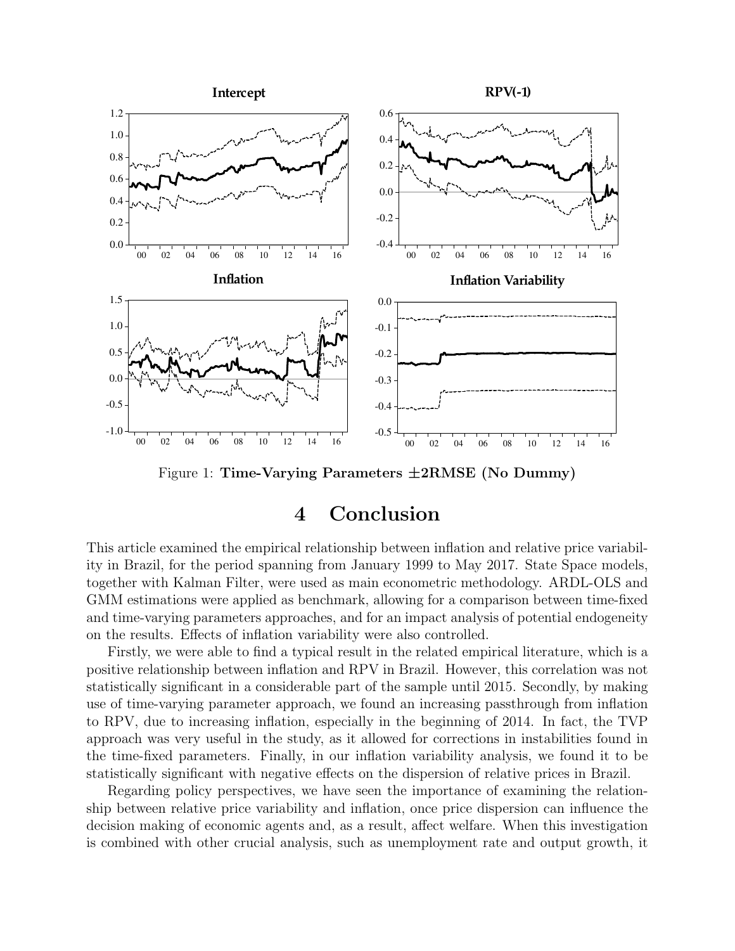<span id="page-6-0"></span>

Figure 1: Time-Varying Parameters  $\pm 2RMSE$  (No Dummy)

### 4 Conclusion

This article examined the empirical relationship between inflation and relative price variability in Brazil, for the period spanning from January 1999 to May 2017. State Space models, together with Kalman Filter, were used as main econometric methodology. ARDL-OLS and GMM estimations were applied as benchmark, allowing for a comparison between time-fixed and time-varying parameters approaches, and for an impact analysis of potential endogeneity on the results. Effects of inflation variability were also controlled.

Firstly, we were able to find a typical result in the related empirical literature, which is a positive relationship between inflation and RPV in Brazil. However, this correlation was not statistically significant in a considerable part of the sample until 2015. Secondly, by making use of time-varying parameter approach, we found an increasing passthrough from inflation to RPV, due to increasing inflation, especially in the beginning of 2014. In fact, the TVP approach was very useful in the study, as it allowed for corrections in instabilities found in the time-fixed parameters. Finally, in our inflation variability analysis, we found it to be statistically significant with negative effects on the dispersion of relative prices in Brazil.

Regarding policy perspectives, we have seen the importance of examining the relationship between relative price variability and inflation, once price dispersion can influence the decision making of economic agents and, as a result, affect welfare. When this investigation is combined with other crucial analysis, such as unemployment rate and output growth, it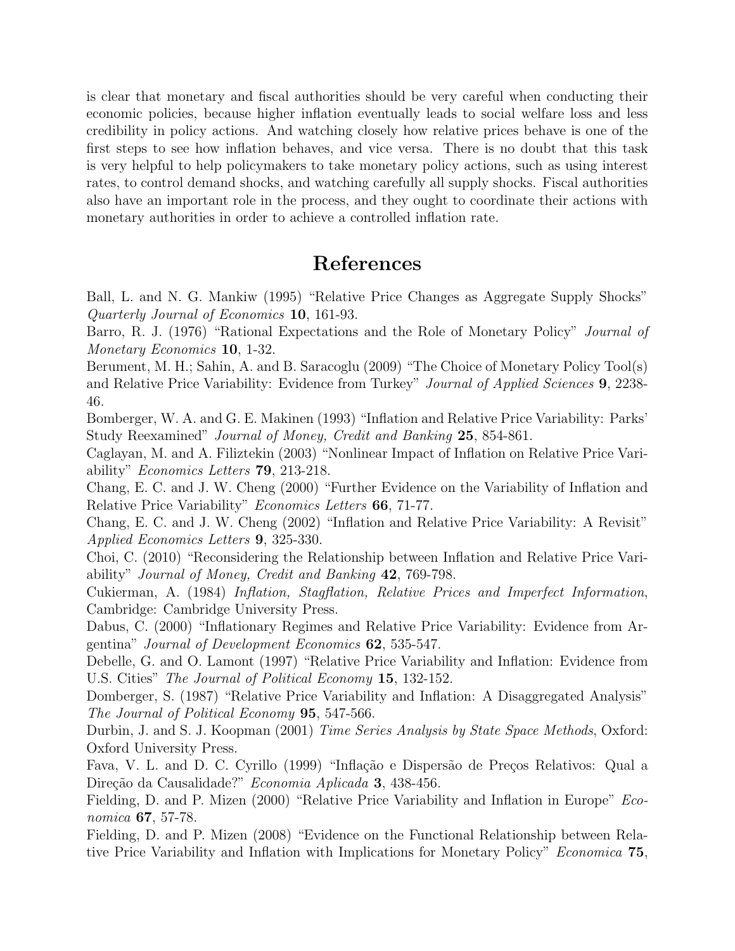is clear that monetary and fiscal authorities should be very careful when conducting their economic policies, because higher inflation eventually leads to social welfare loss and less credibility in policy actions. And watching closely how relative prices behave is one of the first steps to see how inflation behaves, and vice versa. There is no doubt that this task is very helpful to help policymakers to take monetary policy actions, such as using interest rates, to control demand shocks, and watching carefully all supply shocks. Fiscal authorities also have an important role in the process, and they ought to coordinate their actions with monetary authorities in order to achieve a controlled inflation rate.

#### References

Ball, L. and N. G. Mankiw (1995) "Relative Price Changes as Aggregate Supply Shocks" Quarterly Journal of Economics 10, 161-93.

Barro, R. J. (1976) "Rational Expectations and the Role of Monetary Policy" *Journal of* Monetary Economics **10**, 1-32.

Berument, M. H.; Sahin, A. and B. Saracoglu (2009) "The Choice of Monetary Policy Tool(s) and Relative Price Variability: Evidence from Turkey" Journal of Applied Sciences 9, 2238- 46.

Bomberger, W. A. and G. E. Makinen (1993) "Inflation and Relative Price Variability: Parks' Study Reexamined" Journal of Money, Credit and Banking 25, 854-861.

Caglayan, M. and A. Filiztekin (2003) "Nonlinear Impact of Inflation on Relative Price Variability" Economics Letters 79, 213-218.

Chang, E. C. and J. W. Cheng (2000) "Further Evidence on the Variability of Inflation and Relative Price Variability" Economics Letters 66, 71-77.

Chang, E. C. and J. W. Cheng (2002) "Inflation and Relative Price Variability: A Revisit" Applied Economics Letters 9, 325-330.

Choi, C. (2010) "Reconsidering the Relationship between Inflation and Relative Price Variability" Journal of Money, Credit and Banking 42, 769-798.

Cukierman, A. (1984) Inflation, Stagflation, Relative Prices and Imperfect Information, Cambridge: Cambridge University Press.

Dabus, C. (2000) "Inflationary Regimes and Relative Price Variability: Evidence from Argentina" Journal of Development Economics 62, 535-547.

Debelle, G. and O. Lamont (1997) "Relative Price Variability and Inflation: Evidence from U.S. Cities" The Journal of Political Economy 15, 132-152.

Domberger, S. (1987) "Relative Price Variability and Inflation: A Disaggregated Analysis" The Journal of Political Economy 95, 547-566.

Durbin, J. and S. J. Koopman (2001) Time Series Analysis by State Space Methods, Oxford: Oxford University Press.

Fava, V. L. and D. C. Cyrillo (1999) "Inflação e Dispersão de Preços Relativos: Qual a Direção da Causalidade?" Economia Aplicada 3, 438-456.

Fielding, D. and P. Mizen (2000) "Relative Price Variability and Inflation in Europe" Economica 67, 57-78.

Fielding, D. and P. Mizen (2008) "Evidence on the Functional Relationship between Relative Price Variability and Inflation with Implications for Monetary Policy" Economica 75,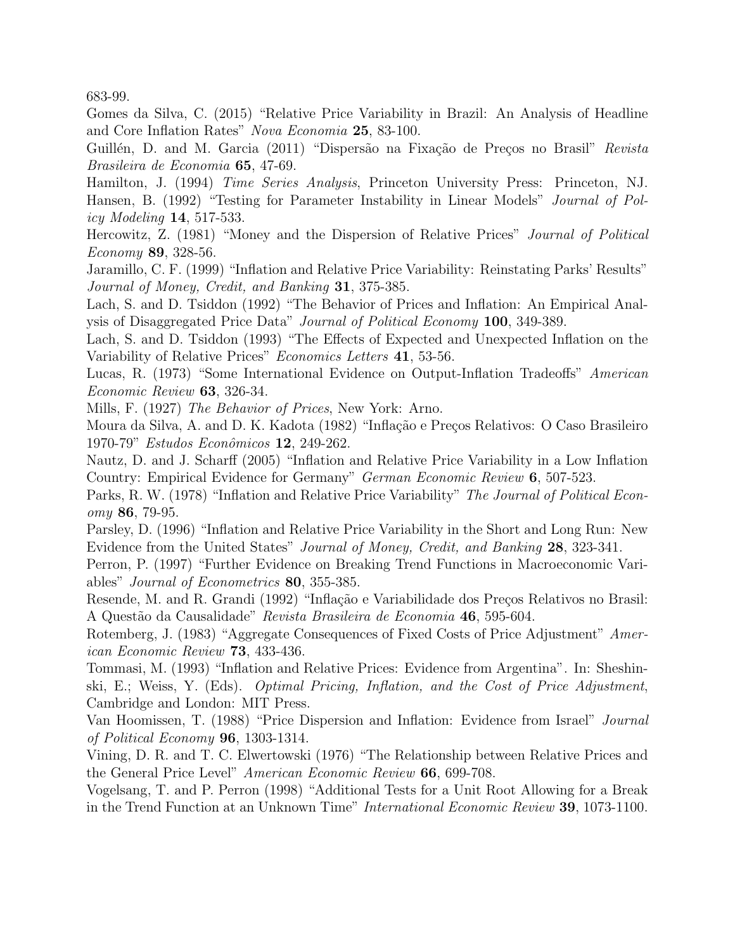683-99.

Gomes da Silva, C. (2015) "Relative Price Variability in Brazil: An Analysis of Headline and Core Inflation Rates" Nova Economia 25, 83-100.

Guillén, D. and M. Garcia (2011) "Dispersão na Fixação de Preços no Brasil" Revista Brasileira de Economia 65, 47-69.

Hamilton, J. (1994) Time Series Analysis, Princeton University Press: Princeton, NJ. Hansen, B. (1992) "Testing for Parameter Instability in Linear Models" Journal of Policy Modeling 14, 517-533.

Hercowitz, Z. (1981) "Money and the Dispersion of Relative Prices" Journal of Political Economy 89, 328-56.

Jaramillo, C. F. (1999) "Inflation and Relative Price Variability: Reinstating Parks' Results" Journal of Money, Credit, and Banking 31, 375-385.

Lach, S. and D. Tsiddon (1992) "The Behavior of Prices and Inflation: An Empirical Analysis of Disaggregated Price Data" Journal of Political Economy 100, 349-389.

Lach, S. and D. Tsiddon (1993) "The Effects of Expected and Unexpected Inflation on the Variability of Relative Prices" Economics Letters 41, 53-56.

Lucas, R. (1973) "Some International Evidence on Output-Inflation Tradeoffs" American Economic Review 63, 326-34.

Mills, F. (1927) The Behavior of Prices, New York: Arno.

Moura da Silva, A. and D. K. Kadota (1982) "Inflação e Preços Relativos: O Caso Brasileiro 1970-79" Estudos Econômicos 12, 249-262.

Nautz, D. and J. Scharff (2005) "Inflation and Relative Price Variability in a Low Inflation Country: Empirical Evidence for Germany" German Economic Review 6, 507-523.

Parks, R. W. (1978) "Inflation and Relative Price Variability" The Journal of Political Economy 86, 79-95.

Parsley, D. (1996) "Inflation and Relative Price Variability in the Short and Long Run: New Evidence from the United States" Journal of Money, Credit, and Banking 28, 323-341.

Perron, P. (1997) "Further Evidence on Breaking Trend Functions in Macroeconomic Variables" Journal of Econometrics 80, 355-385.

Resende, M. and R. Grandi (1992) "Inflação e Variabilidade dos Preços Relativos no Brasil: A Quest˜ao da Causalidade" Revista Brasileira de Economia 46, 595-604.

Rotemberg, J. (1983) "Aggregate Consequences of Fixed Costs of Price Adjustment" American Economic Review 73, 433-436.

Tommasi, M. (1993) "Inflation and Relative Prices: Evidence from Argentina". In: Sheshinski, E.; Weiss, Y. (Eds). Optimal Pricing, Inflation, and the Cost of Price Adjustment, Cambridge and London: MIT Press.

Van Hoomissen, T. (1988) "Price Dispersion and Inflation: Evidence from Israel" Journal of Political Economy 96, 1303-1314.

Vining, D. R. and T. C. Elwertowski (1976) "The Relationship between Relative Prices and the General Price Level" American Economic Review 66, 699-708.

Vogelsang, T. and P. Perron (1998) "Additional Tests for a Unit Root Allowing for a Break in the Trend Function at an Unknown Time" International Economic Review 39, 1073-1100.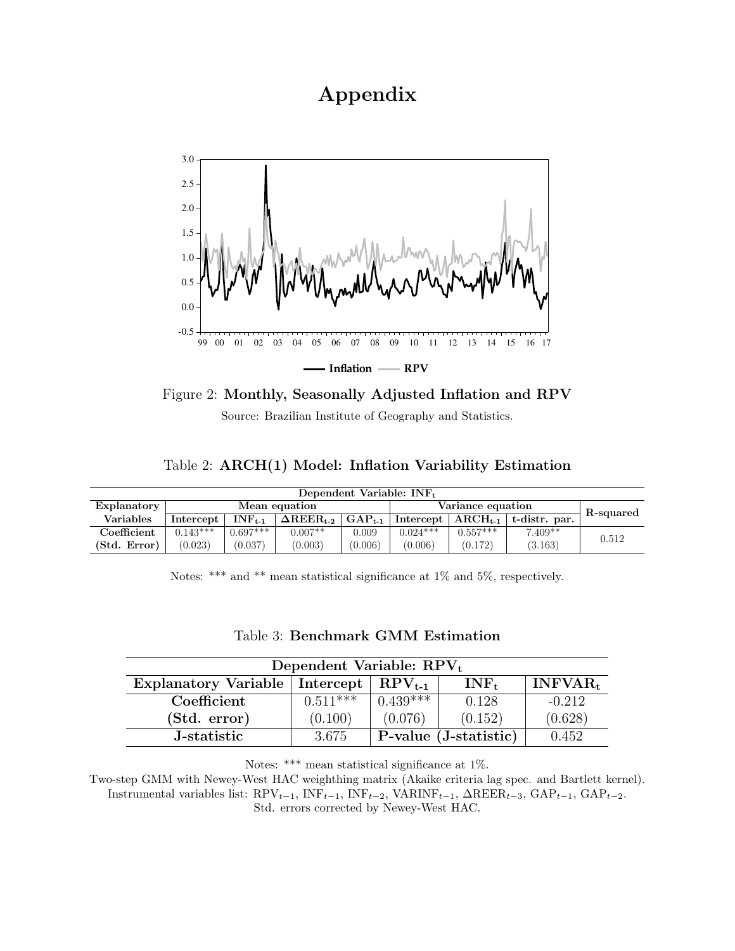## Appendix

<span id="page-9-0"></span>

Figure 2: Monthly, Seasonally Adjusted Inflation and RPV

Source: Brazilian Institute of Geography and Statistics.

Table 2: ARCH(1) Model: Inflation Variability Estimation

<span id="page-9-1"></span>

| Dependent Variable: $INF_t$ |               |              |                                            |                   |            |                          |               |       |
|-----------------------------|---------------|--------------|--------------------------------------------|-------------------|------------|--------------------------|---------------|-------|
| Explanatory                 | Mean equation |              |                                            | Variance equation |            |                          | R-squared     |       |
| <b>Variables</b>            | Intercept     | $INF_{t-1}$  | $\Delta \text{REER}_{\text{t-2}}\parallel$ | $GAP_{t-1}$       |            | Intercept   $ARCH_{t-1}$ | t-distr. par. |       |
| Coefficient                 | $0.143***$    | $0.697***$ 1 | $0.007**$                                  | 0.009             | $0.024***$ | $0.557***$               | $7.409**$     | 0.512 |
| (Std. Error)                | (0.023)       | (0.037)      | (0.003)                                    | (0.006)           | (0.006)    | (0.172)                  | (3.163)       |       |

Notes: \*\*\* and \*\* mean statistical significance at  $1\%$  and  $5\%$ , respectively.

<span id="page-9-2"></span>

| Dependent Variable: $RPV_t$                    |            |            |                       |            |  |  |  |
|------------------------------------------------|------------|------------|-----------------------|------------|--|--|--|
| Explanatory Variable   Intercept   $RPV_{t-1}$ |            |            | $INF_t$               | $INFVAR_t$ |  |  |  |
| Coefficient                                    | $0.511***$ | $0.439***$ | 0.128                 | $-0.212$   |  |  |  |
| (Std. error)                                   | (0.100)    | (0.076)    | (0.152)               | (0.628)    |  |  |  |
| J-statistic                                    | 3.675      |            | P-value (J-statistic) | 0.452      |  |  |  |

#### Table 3: Benchmark GMM Estimation

Notes: \*\*\* mean statistical significance at 1%.

Two-step GMM with Newey-West HAC weighthing matrix (Akaike criteria lag spec. and Bartlett kernel). Instrumental variables list:  $RPV_{t-1}$ ,  $INF_{t-1}$ ,  $INF_{t-2}$ ,  $VARINF_{t-1}$ ,  $QREF_{t-3}$ ,  $GAP_{t-1}$ ,  $GAP_{t-2}$ . Std. errors corrected by Newey-West HAC.